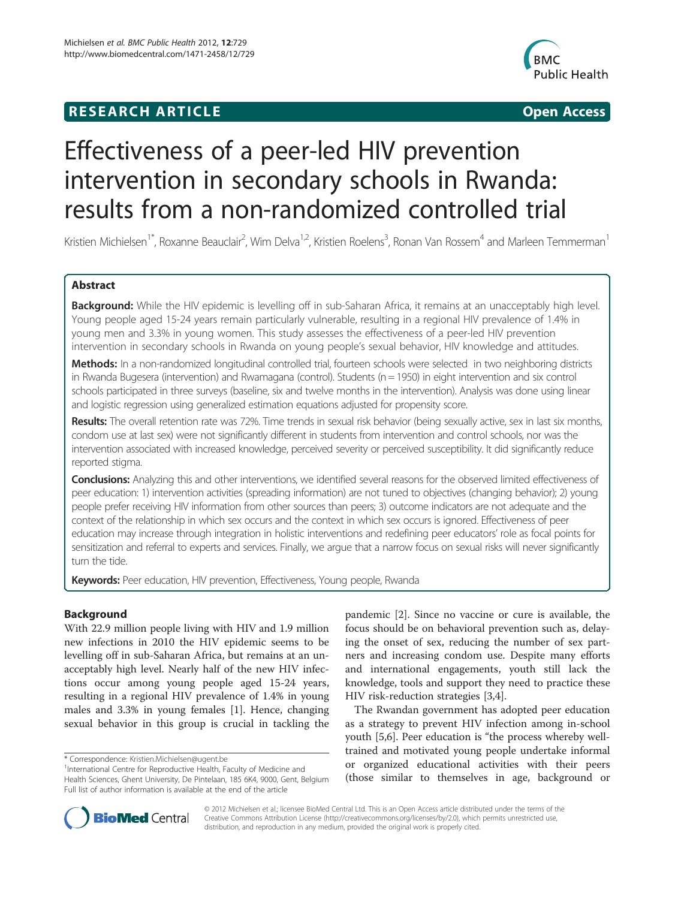# **RESEARCH ARTICLE Example 2014 CONSIDERING CONSIDERING CONSIDERING CONSIDERING CONSIDERING CONSIDERING CONSIDERING CONSIDERING CONSIDERING CONSIDERING CONSIDERING CONSIDERING CONSIDERING CONSIDERING CONSIDERING CONSIDE**



# Effectiveness of a peer-led HIV prevention intervention in secondary schools in Rwanda: results from a non-randomized controlled trial

Kristien Michielsen<sup>1\*</sup>, Roxanne Beauclair<sup>2</sup>, Wim Delva<sup>1,2</sup>, Kristien Roelens<sup>3</sup>, Ronan Van Rossem<sup>4</sup> and Marleen Temmerman<sup>1</sup>

# Abstract

Background: While the HIV epidemic is levelling off in sub-Saharan Africa, it remains at an unacceptably high level. Young people aged 15-24 years remain particularly vulnerable, resulting in a regional HIV prevalence of 1.4% in young men and 3.3% in young women. This study assesses the effectiveness of a peer-led HIV prevention intervention in secondary schools in Rwanda on young people's sexual behavior, HIV knowledge and attitudes.

Methods: In a non-randomized longitudinal controlled trial, fourteen schools were selected in two neighboring districts in Rwanda Bugesera (intervention) and Rwamagana (control). Students (n = 1950) in eight intervention and six control schools participated in three surveys (baseline, six and twelve months in the intervention). Analysis was done using linear and logistic regression using generalized estimation equations adjusted for propensity score.

Results: The overall retention rate was 72%. Time trends in sexual risk behavior (being sexually active, sex in last six months, condom use at last sex) were not significantly different in students from intervention and control schools, nor was the intervention associated with increased knowledge, perceived severity or perceived susceptibility. It did significantly reduce reported stigma.

Conclusions: Analyzing this and other interventions, we identified several reasons for the observed limited effectiveness of peer education: 1) intervention activities (spreading information) are not tuned to objectives (changing behavior); 2) young people prefer receiving HIV information from other sources than peers; 3) outcome indicators are not adequate and the context of the relationship in which sex occurs and the context in which sex occurs is ignored. Effectiveness of peer education may increase through integration in holistic interventions and redefining peer educators' role as focal points for sensitization and referral to experts and services. Finally, we argue that a narrow focus on sexual risks will never significantly turn the tide.

Keywords: Peer education, HIV prevention, Effectiveness, Young people, Rwanda

# **Background**

With 22.9 million people living with HIV and 1.9 million new infections in 2010 the HIV epidemic seems to be levelling off in sub-Saharan Africa, but remains at an unacceptably high level. Nearly half of the new HIV infections occur among young people aged 15-24 years, resulting in a regional HIV prevalence of 1.4% in young males and 3.3% in young females [\[1](#page-9-0)]. Hence, changing sexual behavior in this group is crucial in tackling the

pandemic [[2\]](#page-9-0). Since no vaccine or cure is available, the focus should be on behavioral prevention such as, delaying the onset of sex, reducing the number of sex partners and increasing condom use. Despite many efforts and international engagements, youth still lack the knowledge, tools and support they need to practice these HIV risk-reduction strategies [[3,4\]](#page-9-0).

The Rwandan government has adopted peer education as a strategy to prevent HIV infection among in-school youth [\[5,6](#page-9-0)]. Peer education is "the process whereby welltrained and motivated young people undertake informal or organized educational activities with their peers (those similar to themselves in age, background or



© 2012 Michielsen et al.; licensee BioMed Central Ltd. This is an Open Access article distributed under the terms of the Creative Commons Attribution License (<http://creativecommons.org/licenses/by/2.0>), which permits unrestricted use, distribution, and reproduction in any medium, provided the original work is properly cited.

<sup>\*</sup> Correspondence: [Kristien.Michielsen@ugent.be](mailto:Kristien.Michielsen@ugent.be) <sup>1</sup>

<sup>&</sup>lt;sup>1</sup>International Centre for Reproductive Health, Faculty of Medicine and Health Sciences, Ghent University, De Pintelaan, 185 6K4, 9000, Gent, Belgium Full list of author information is available at the end of the article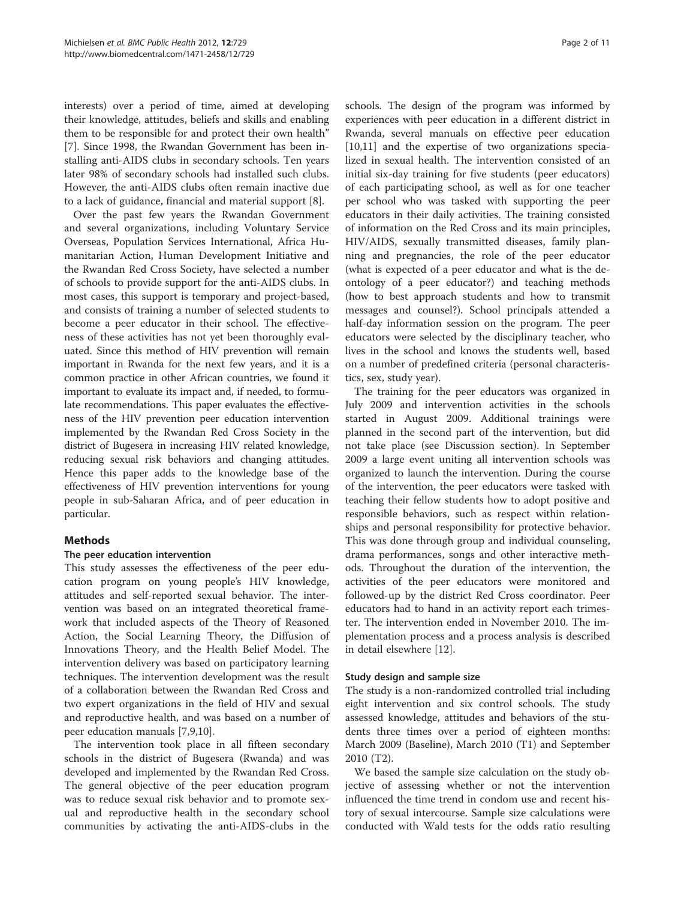interests) over a period of time, aimed at developing their knowledge, attitudes, beliefs and skills and enabling them to be responsible for and protect their own health" [[7\]](#page-9-0). Since 1998, the Rwandan Government has been installing anti-AIDS clubs in secondary schools. Ten years later 98% of secondary schools had installed such clubs. However, the anti-AIDS clubs often remain inactive due to a lack of guidance, financial and material support [\[8](#page-9-0)].

Over the past few years the Rwandan Government and several organizations, including Voluntary Service Overseas, Population Services International, Africa Humanitarian Action, Human Development Initiative and the Rwandan Red Cross Society, have selected a number of schools to provide support for the anti-AIDS clubs. In most cases, this support is temporary and project-based, and consists of training a number of selected students to become a peer educator in their school. The effectiveness of these activities has not yet been thoroughly evaluated. Since this method of HIV prevention will remain important in Rwanda for the next few years, and it is a common practice in other African countries, we found it important to evaluate its impact and, if needed, to formulate recommendations. This paper evaluates the effectiveness of the HIV prevention peer education intervention implemented by the Rwandan Red Cross Society in the district of Bugesera in increasing HIV related knowledge, reducing sexual risk behaviors and changing attitudes. Hence this paper adds to the knowledge base of the effectiveness of HIV prevention interventions for young people in sub-Saharan Africa, and of peer education in particular.

# **Methods**

# The peer education intervention

This study assesses the effectiveness of the peer education program on young people's HIV knowledge, attitudes and self-reported sexual behavior. The intervention was based on an integrated theoretical framework that included aspects of the Theory of Reasoned Action, the Social Learning Theory, the Diffusion of Innovations Theory, and the Health Belief Model. The intervention delivery was based on participatory learning techniques. The intervention development was the result of a collaboration between the Rwandan Red Cross and two expert organizations in the field of HIV and sexual and reproductive health, and was based on a number of peer education manuals [\[7,9](#page-9-0),[10](#page-9-0)].

The intervention took place in all fifteen secondary schools in the district of Bugesera (Rwanda) and was developed and implemented by the Rwandan Red Cross. The general objective of the peer education program was to reduce sexual risk behavior and to promote sexual and reproductive health in the secondary school communities by activating the anti-AIDS-clubs in the

schools. The design of the program was informed by experiences with peer education in a different district in Rwanda, several manuals on effective peer education [[10,11\]](#page-9-0) and the expertise of two organizations specialized in sexual health. The intervention consisted of an initial six-day training for five students (peer educators) of each participating school, as well as for one teacher per school who was tasked with supporting the peer educators in their daily activities. The training consisted of information on the Red Cross and its main principles, HIV/AIDS, sexually transmitted diseases, family planning and pregnancies, the role of the peer educator (what is expected of a peer educator and what is the deontology of a peer educator?) and teaching methods (how to best approach students and how to transmit messages and counsel?). School principals attended a half-day information session on the program. The peer educators were selected by the disciplinary teacher, who lives in the school and knows the students well, based on a number of predefined criteria (personal characteristics, sex, study year).

The training for the peer educators was organized in July 2009 and intervention activities in the schools started in August 2009. Additional trainings were planned in the second part of the intervention, but did not take place (see Discussion section). In September 2009 a large event uniting all intervention schools was organized to launch the intervention. During the course of the intervention, the peer educators were tasked with teaching their fellow students how to adopt positive and responsible behaviors, such as respect within relationships and personal responsibility for protective behavior. This was done through group and individual counseling, drama performances, songs and other interactive methods. Throughout the duration of the intervention, the activities of the peer educators were monitored and followed-up by the district Red Cross coordinator. Peer educators had to hand in an activity report each trimester. The intervention ended in November 2010. The implementation process and a process analysis is described in detail elsewhere [[12\]](#page-9-0).

#### Study design and sample size

The study is a non-randomized controlled trial including eight intervention and six control schools. The study assessed knowledge, attitudes and behaviors of the students three times over a period of eighteen months: March 2009 (Baseline), March 2010 (T1) and September 2010 (T2).

We based the sample size calculation on the study objective of assessing whether or not the intervention influenced the time trend in condom use and recent history of sexual intercourse. Sample size calculations were conducted with Wald tests for the odds ratio resulting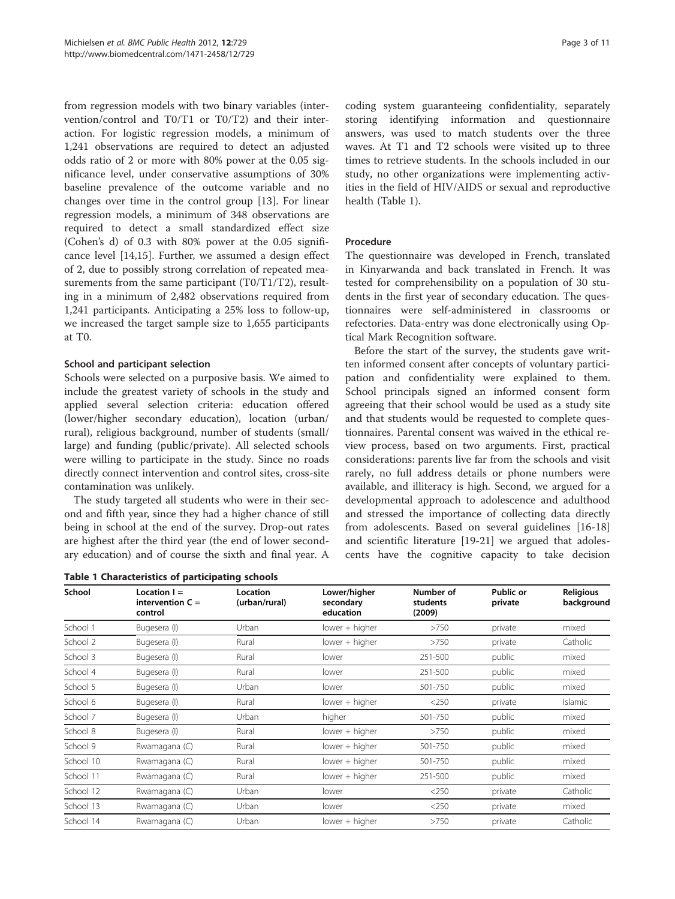from regression models with two binary variables (intervention/control and T0/T1 or T0/T2) and their interaction. For logistic regression models, a minimum of 1,241 observations are required to detect an adjusted odds ratio of 2 or more with 80% power at the 0.05 significance level, under conservative assumptions of 30% baseline prevalence of the outcome variable and no changes over time in the control group [[13](#page-9-0)]. For linear regression models, a minimum of 348 observations are required to detect a small standardized effect size (Cohen's d) of 0.3 with 80% power at the 0.05 significance level [\[14,15\]](#page-9-0). Further, we assumed a design effect of 2, due to possibly strong correlation of repeated measurements from the same participant (T0/T1/T2), resulting in a minimum of 2,482 observations required from 1,241 participants. Anticipating a 25% loss to follow-up, we increased the target sample size to 1,655 participants at T0.

# School and participant selection

Schools were selected on a purposive basis. We aimed to include the greatest variety of schools in the study and applied several selection criteria: education offered (lower/higher secondary education), location (urban/ rural), religious background, number of students (small/ large) and funding (public/private). All selected schools were willing to participate in the study. Since no roads directly connect intervention and control sites, cross-site contamination was unlikely.

The study targeted all students who were in their second and fifth year, since they had a higher chance of still being in school at the end of the survey. Drop-out rates are highest after the third year (the end of lower secondary education) and of course the sixth and final year. A

Table 1 Characteristics of participating schools

coding system guaranteeing confidentiality, separately storing identifying information and questionnaire answers, was used to match students over the three waves. At T1 and T2 schools were visited up to three times to retrieve students. In the schools included in our study, no other organizations were implementing activities in the field of HIV/AIDS or sexual and reproductive health (Table 1).

# Procedure

The questionnaire was developed in French, translated in Kinyarwanda and back translated in French. It was tested for comprehensibility on a population of 30 students in the first year of secondary education. The questionnaires were self-administered in classrooms or refectories. Data-entry was done electronically using Optical Mark Recognition software.

Before the start of the survey, the students gave written informed consent after concepts of voluntary participation and confidentiality were explained to them. School principals signed an informed consent form agreeing that their school would be used as a study site and that students would be requested to complete questionnaires. Parental consent was waived in the ethical review process, based on two arguments. First, practical considerations: parents live far from the schools and visit rarely, no full address details or phone numbers were available, and illiteracy is high. Second, we argued for a developmental approach to adolescence and adulthood and stressed the importance of collecting data directly from adolescents. Based on several guidelines [\[16](#page-9-0)-[18](#page-9-0)] and scientific literature [[19-21](#page-9-0)] we argued that adolescents have the cognitive capacity to take decision

| School    | Location $I =$<br>intervention $C =$<br>control | Location<br>(urban/rural) | Lower/higher<br>secondary<br>education | Number of<br>students<br>(2009) | <b>Public or</b><br>private | <b>Religious</b><br>background |
|-----------|-------------------------------------------------|---------------------------|----------------------------------------|---------------------------------|-----------------------------|--------------------------------|
| School 1  | Bugesera (I)                                    | Urban                     | lower + higher                         | >750                            | private                     | mixed                          |
| School 2  | Bugesera (I)                                    | Rural                     | $lower + higher$                       | >750                            | private                     | Catholic                       |
| School 3  | Bugesera (I)                                    | Rural                     | lower                                  | 251-500                         | public                      | mixed                          |
| School 4  | Bugesera (I)                                    | Rural                     | lower                                  | 251-500                         | public                      | mixed                          |
| School 5  | Bugesera (I)                                    | Urban                     | lower                                  | 501-750                         | public                      | mixed                          |
| School 6  | Bugesera (I)                                    | Rural                     | $lower + higher$                       | $<$ 250                         | private                     | Islamic                        |
| School 7  | Bugesera (I)                                    | Urban                     | higher                                 | 501-750                         | public                      | mixed                          |
| School 8  | Bugesera (I)                                    | Rural                     | $lower + higher$                       | >750                            | public                      | mixed                          |
| School 9  | Rwamagana (C)                                   | Rural                     | $lower + higher$                       | 501-750                         | public                      | mixed                          |
| School 10 | Rwamagana (C)                                   | Rural                     | lower + higher                         | 501-750                         | public                      | mixed                          |
| School 11 | Rwamagana (C)                                   | Rural                     | lower + higher                         | 251-500                         | public                      | mixed                          |
| School 12 | Rwamagana (C)                                   | Urban                     | lower                                  | $<$ 250                         | private                     | Catholic                       |
| School 13 | Rwamagana (C)                                   | Urban                     | lower                                  | $<$ 250                         | private                     | mixed                          |
| School 14 | Rwamagana (C)                                   | Urban                     | $lower + higher$                       | >750                            | private                     | Catholic                       |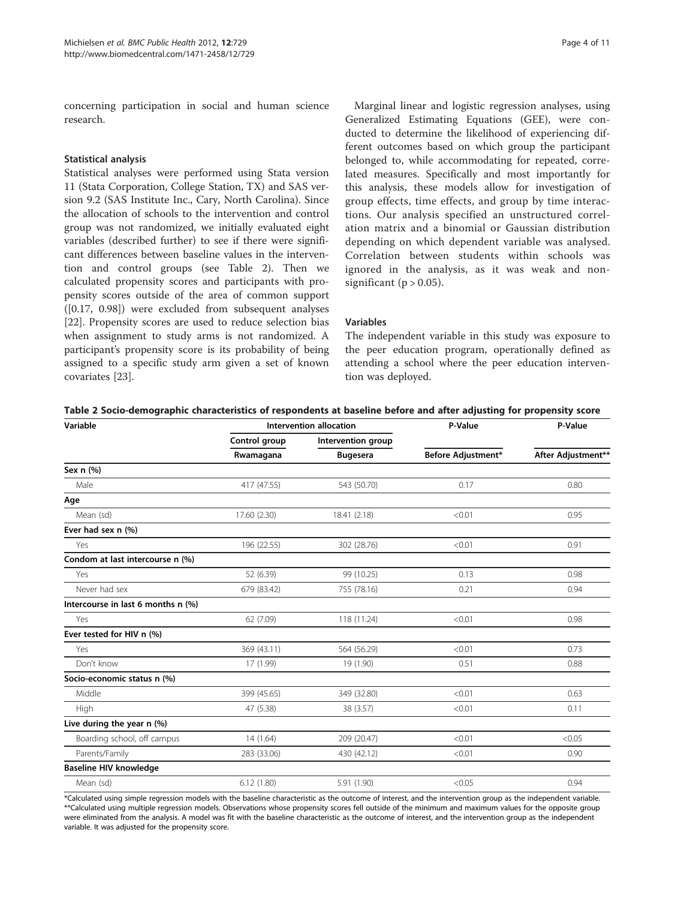<span id="page-3-0"></span>concerning participation in social and human science research.

#### Statistical analysis

Statistical analyses were performed using Stata version 11 (Stata Corporation, College Station, TX) and SAS version 9.2 (SAS Institute Inc., Cary, North Carolina). Since the allocation of schools to the intervention and control group was not randomized, we initially evaluated eight variables (described further) to see if there were significant differences between baseline values in the intervention and control groups (see Table 2). Then we calculated propensity scores and participants with propensity scores outside of the area of common support ([0.17, 0.98]) were excluded from subsequent analyses [[22\]](#page-9-0). Propensity scores are used to reduce selection bias when assignment to study arms is not randomized. A participant's propensity score is its probability of being assigned to a specific study arm given a set of known covariates [\[23\]](#page-9-0).

Marginal linear and logistic regression analyses, using Generalized Estimating Equations (GEE), were conducted to determine the likelihood of experiencing different outcomes based on which group the participant belonged to, while accommodating for repeated, correlated measures. Specifically and most importantly for this analysis, these models allow for investigation of group effects, time effects, and group by time interactions. Our analysis specified an unstructured correlation matrix and a binomial or Gaussian distribution depending on which dependent variable was analysed. Correlation between students within schools was ignored in the analysis, as it was weak and nonsignificant ( $p > 0.05$ ).

# Variables

The independent variable in this study was exposure to the peer education program, operationally defined as attending a school where the peer education intervention was deployed.

|  |  |  | Table 2 Socio-demographic characteristics of respondents at baseline before and after adjusting for propensity score |
|--|--|--|----------------------------------------------------------------------------------------------------------------------|
|  |  |  |                                                                                                                      |

| Variable                           |               | <b>Intervention allocation</b> | P-Value            | P-Value<br>After Adjustment** |  |
|------------------------------------|---------------|--------------------------------|--------------------|-------------------------------|--|
|                                    | Control group | Intervention group             |                    |                               |  |
|                                    | Rwamagana     | <b>Bugesera</b>                | Before Adjustment* |                               |  |
| Sex n (%)                          |               |                                |                    |                               |  |
| Male                               | 417 (47.55)   | 543 (50.70)                    | 0.17               | 0.80                          |  |
| Age                                |               |                                |                    |                               |  |
| Mean (sd)                          | 17.60 (2.30)  | 18.41 (2.18)                   | < 0.01             | 0.95                          |  |
| Ever had sex n (%)                 |               |                                |                    |                               |  |
| Yes                                | 196 (22.55)   | 302 (28.76)                    | < 0.01             | 0.91                          |  |
| Condom at last intercourse n (%)   |               |                                |                    |                               |  |
| Yes                                | 52 (6.39)     | 99 (10.25)                     | 0.13               | 0.98                          |  |
| Never had sex                      | 679 (83.42)   | 755 (78.16)                    | 0.21               | 0.94                          |  |
| Intercourse in last 6 months n (%) |               |                                |                    |                               |  |
| Yes                                | 62 (7.09)     | 118 (11.24)                    | < 0.01             | 0.98                          |  |
| Ever tested for HIV n (%)          |               |                                |                    |                               |  |
| Yes                                | 369 (43.11)   | 564 (56.29)                    | < 0.01             | 0.73                          |  |
| Don't know                         | 17 (1.99)     | 19 (1.90)                      | 0.51               | 0.88                          |  |
| Socio-economic status n (%)        |               |                                |                    |                               |  |
| Middle                             | 399 (45.65)   | 349 (32.80)                    | < 0.01             | 0.63                          |  |
| High                               | 47 (5.38)     | 38 (3.57)                      | < 0.01             | 0.11                          |  |
| Live during the year n (%)         |               |                                |                    |                               |  |
| Boarding school, off campus        | 14 (1.64)     | 209 (20.47)                    | < 0.01             | < 0.05                        |  |
| Parents/Family                     | 283 (33.06)   | 430 (42.12)                    | < 0.01             | 0.90                          |  |
| <b>Baseline HIV knowledge</b>      |               |                                |                    |                               |  |
| Mean (sd)                          | 6.12(1.80)    | 5.91 (1.90)                    | < 0.05             | 0.94                          |  |

\*Calculated using simple regression models with the baseline characteristic as the outcome of interest, and the intervention group as the independent variable. \*\*Calculated using multiple regression models. Observations whose propensity scores fell outside of the minimum and maximum values for the opposite group were eliminated from the analysis. A model was fit with the baseline characteristic as the outcome of interest, and the intervention group as the independent variable. It was adjusted for the propensity score.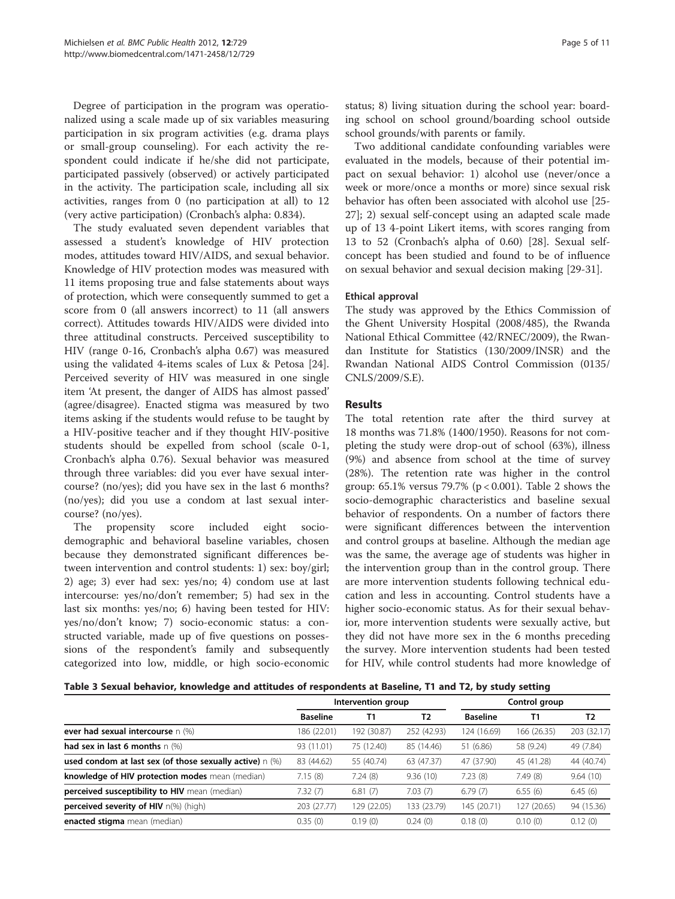<span id="page-4-0"></span>Degree of participation in the program was operationalized using a scale made up of six variables measuring participation in six program activities (e.g. drama plays or small-group counseling). For each activity the respondent could indicate if he/she did not participate, participated passively (observed) or actively participated in the activity. The participation scale, including all six activities, ranges from 0 (no participation at all) to 12 (very active participation) (Cronbach's alpha: 0.834).

The study evaluated seven dependent variables that assessed a student's knowledge of HIV protection modes, attitudes toward HIV/AIDS, and sexual behavior. Knowledge of HIV protection modes was measured with 11 items proposing true and false statements about ways of protection, which were consequently summed to get a score from 0 (all answers incorrect) to 11 (all answers correct). Attitudes towards HIV/AIDS were divided into three attitudinal constructs. Perceived susceptibility to HIV (range 0-16, Cronbach's alpha 0.67) was measured using the validated 4-items scales of Lux & Petosa [\[24](#page-9-0)]. Perceived severity of HIV was measured in one single item 'At present, the danger of AIDS has almost passed' (agree/disagree). Enacted stigma was measured by two items asking if the students would refuse to be taught by a HIV-positive teacher and if they thought HIV-positive students should be expelled from school (scale 0-1, Cronbach's alpha 0.76). Sexual behavior was measured through three variables: did you ever have sexual intercourse? (no/yes); did you have sex in the last 6 months? (no/yes); did you use a condom at last sexual intercourse? (no/yes).

The propensity score included eight sociodemographic and behavioral baseline variables, chosen because they demonstrated significant differences between intervention and control students: 1) sex: boy/girl; 2) age; 3) ever had sex: yes/no; 4) condom use at last intercourse: yes/no/don't remember; 5) had sex in the last six months: yes/no; 6) having been tested for HIV: yes/no/don't know; 7) socio-economic status: a constructed variable, made up of five questions on possessions of the respondent's family and subsequently categorized into low, middle, or high socio-economic

Two additional candidate confounding variables were evaluated in the models, because of their potential impact on sexual behavior: 1) alcohol use (never/once a week or more/once a months or more) since sexual risk behavior has often been associated with alcohol use [\[25-](#page-9-0) [27\]](#page-9-0); 2) sexual self-concept using an adapted scale made up of 13 4-point Likert items, with scores ranging from 13 to 52 (Cronbach's alpha of 0.60) [[28](#page-9-0)]. Sexual selfconcept has been studied and found to be of influence on sexual behavior and sexual decision making [\[29](#page-9-0)-[31](#page-10-0)].

# Ethical approval

The study was approved by the Ethics Commission of the Ghent University Hospital (2008/485), the Rwanda National Ethical Committee (42/RNEC/2009), the Rwandan Institute for Statistics (130/2009/INSR) and the Rwandan National AIDS Control Commission (0135/ CNLS/2009/S.E).

# Results

The total retention rate after the third survey at 18 months was 71.8% (1400/1950). Reasons for not completing the study were drop-out of school (63%), illness (9%) and absence from school at the time of survey (28%). The retention rate was higher in the control group:  $65.1\%$  versus  $79.7\%$  ( $p < 0.001$ ). Table [2](#page-3-0) shows the socio-demographic characteristics and baseline sexual behavior of respondents. On a number of factors there were significant differences between the intervention and control groups at baseline. Although the median age was the same, the average age of students was higher in the intervention group than in the control group. There are more intervention students following technical education and less in accounting. Control students have a higher socio-economic status. As for their sexual behavior, more intervention students were sexually active, but they did not have more sex in the 6 months preceding the survey. More intervention students had been tested for HIV, while control students had more knowledge of

Table 3 Sexual behavior, knowledge and attitudes of respondents at Baseline, T1 and T2, by study setting

|                                                              | Intervention group |             |             | Control group   |             |             |
|--------------------------------------------------------------|--------------------|-------------|-------------|-----------------|-------------|-------------|
|                                                              | <b>Baseline</b>    | Τ1          | Τ2          | <b>Baseline</b> | T1          | Т2          |
| ever had sexual intercourse n (%)                            | 186 (22.01)        | 192 (30.87) | 252 (42.93) | 124 (16.69)     | 166 (26.35) | 203 (32.17) |
| had sex in last 6 months n (%)                               | 93 (11.01)         | 75 (12.40)  | 85 (14.46)  | 51 (6.86)       | 58 (9.24)   | 49 (7.84)   |
| used condom at last sex (of those sexually active) $\ln$ (%) | 83 (44.62)         | 55 (40.74)  | 63 (47.37)  | 47 (37.90)      | 45 (41.28)  | 44 (40.74)  |
| knowledge of HIV protection modes mean (median)              | 7.15(8)            | 7.24(8)     | 9.36(10)    | 7.23(8)         | 7.49(8)     | 9.64(10)    |
| perceived susceptibility to HIV mean (median)                | 7.32(7)            | 6.81(7)     | 7.03(7)     | 6.79(7)         | 6.55(6)     | 6.45(6)     |
| perceived severity of HIV n(%) (high)                        | 203 (27.77)        | 129 (22.05) | 133 (23.79) | 145 (20.71)     | 127 (20.65) | 94 (15.36)  |
| enacted stigma mean (median)                                 | 0.35(0)            | 0.19(0)     | 0.24(0)     | 0.18(0)         | 0.10(0)     | 0.12(0)     |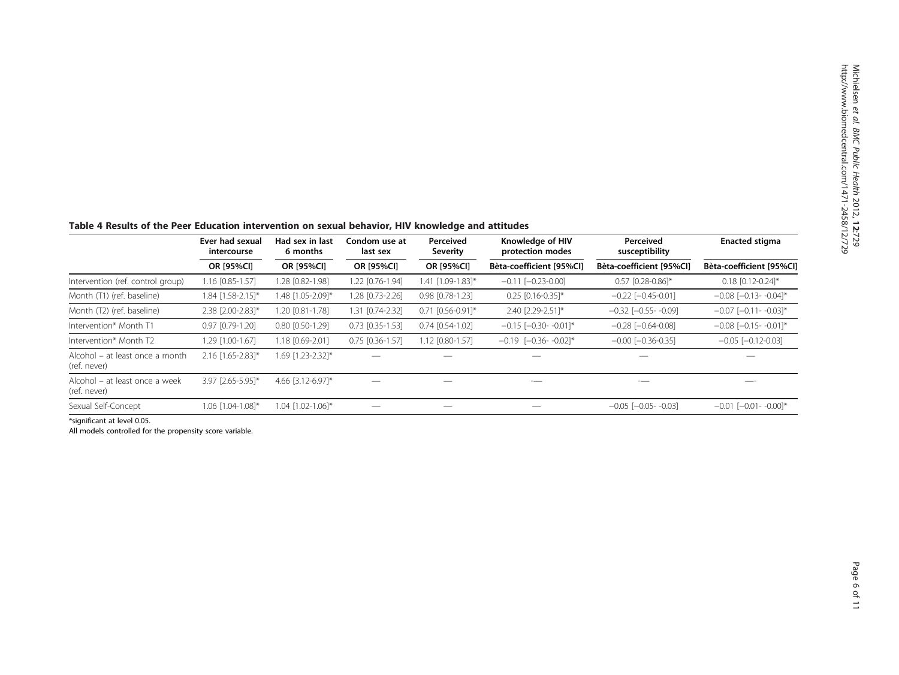<span id="page-5-0"></span>

| Table 4 Results of the Peer Education intervention on sexual behavior, HIV knowledge and attitudes |
|----------------------------------------------------------------------------------------------------|
|----------------------------------------------------------------------------------------------------|

|                                                 | Ever had sexual<br>intercourse | Had sex in last<br>6 months | Condom use at<br>last sex | Perceived<br>Severity  | <b>Knowledge of HIV</b><br>protection modes | Perceived<br>susceptibility | <b>Enacted stigma</b>      |  |
|-------------------------------------------------|--------------------------------|-----------------------------|---------------------------|------------------------|---------------------------------------------|-----------------------------|----------------------------|--|
|                                                 | OR [95%CI]                     | OR [95%CI]                  | OR [95%CI]                | OR [95%CI]             | Bèta-coefficient [95%Cl]                    | Bèta-coefficient [95%Cl]    | Bèta-coefficient [95%Cl]   |  |
| Intervention (ref. control group)               | 1.16 [0.85-1.57]               | .28 [0.82-1.98]             | 1.22 [0.76-1.94]          | 1.41 [1.09-1.83]*      | $-0.11$ $[-0.23 - 0.00]$                    | $0.57$ [0.28-0.86]*         | $0.18$ [0.12-0.24]*        |  |
| Month (T1) (ref. baseline)                      | 1.84 [1.58-2.15]*              | 1.48 [1.05-2.09]*           | 1.28 [0.73-2.26]          | $0.98$ $[0.78 - 1.23]$ | $0.25$ [0.16-0.35]*                         | $-0.22$ [ $-0.45 - 0.01$ ]  | $-0.08$ $[-0.13 - 0.04]$ * |  |
| Month (T2) (ref. baseline)                      | 2.38 [2.00-2.83]*              | 1.20 [0.81-1.78]            | 1.31 [0.74-2.32]          | $0.71$ [0.56-0.91]*    | 2.40 [2.29-2.51]*                           | $-0.32$ $[-0.55 - 0.09]$    | $-0.07$ $[-0.11 - 0.03]$ * |  |
| Intervention* Month T1                          | $0.97$ $[0.79-1.20]$           | $0.80$ $[0.50 - 1.29]$      | $0.73$ $[0.35-1.53]$      | $0.74$ $[0.54 - 1.02]$ | $-0.15$ $[-0.30 - 0.01]$ *                  | $-0.28$ $[-0.64 - 0.08]$    | $-0.08$ $[-0.15 - 0.01]$ * |  |
| Intervention* Month T2                          | 1.29 [1.00-1.67]               | 1.18 [0.69-2.01]            | $0.75$ $[0.36 - 1.57]$    | .12 [0.80-1.57]        | $-0.19$ $[-0.36 - 0.02]$ *                  | $-0.00$ $[-0.36 - 0.35]$    | $-0.05$ $[-0.12 - 0.03]$   |  |
| Alcohol – at least once a month<br>(ref. never) | 2.16 [1.65-2.83]*              | 1.69 [1.23-2.32]*           |                           |                        |                                             |                             |                            |  |
| Alcohol - at least once a week<br>(ref. never)  | 3.97 [2.65-5.95]*              | 4.66 [3.12-6.97]*           |                           |                        |                                             |                             |                            |  |
| Sexual Self-Concept                             | 1.06 [1.04-1.08]*              | 1.04 [1.02-1.06]*           |                           |                        |                                             | $-0.05$ $[-0.05 - 0.03]$    | $-0.01$ $[-0.01 - 0.00]$ * |  |

\*significant at level 0.05.

All models controlled for the propensity score variable.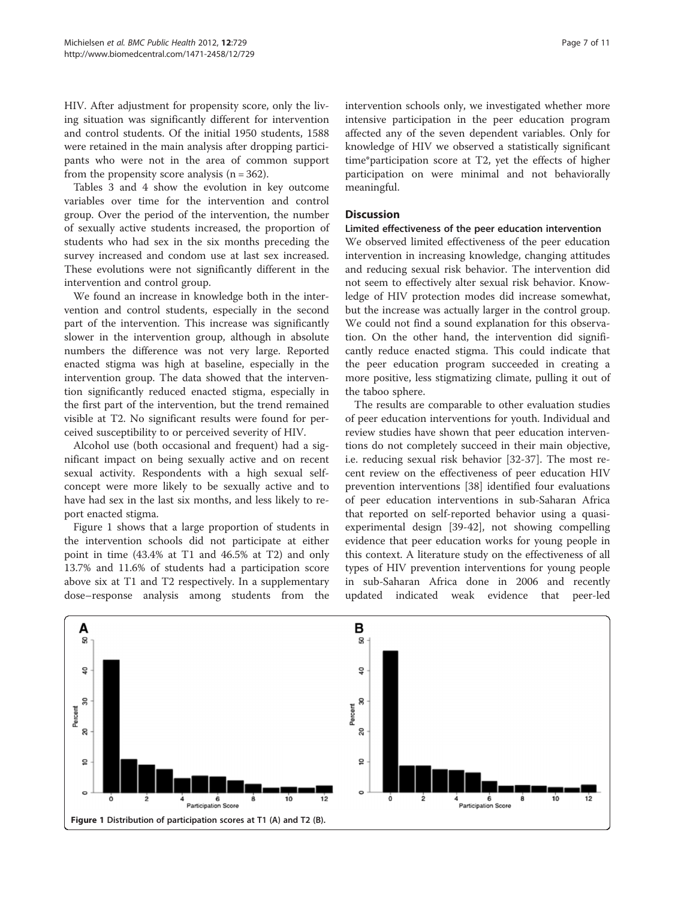HIV. After adjustment for propensity score, only the living situation was significantly different for intervention and control students. Of the initial 1950 students, 1588 were retained in the main analysis after dropping participants who were not in the area of common support from the propensity score analysis  $(n = 362)$ .

Tables [3](#page-4-0) and [4](#page-5-0) show the evolution in key outcome variables over time for the intervention and control group. Over the period of the intervention, the number of sexually active students increased, the proportion of students who had sex in the six months preceding the survey increased and condom use at last sex increased. These evolutions were not significantly different in the intervention and control group.

We found an increase in knowledge both in the intervention and control students, especially in the second part of the intervention. This increase was significantly slower in the intervention group, although in absolute numbers the difference was not very large. Reported enacted stigma was high at baseline, especially in the intervention group. The data showed that the intervention significantly reduced enacted stigma, especially in the first part of the intervention, but the trend remained visible at T2. No significant results were found for perceived susceptibility to or perceived severity of HIV.

Alcohol use (both occasional and frequent) had a significant impact on being sexually active and on recent sexual activity. Respondents with a high sexual selfconcept were more likely to be sexually active and to have had sex in the last six months, and less likely to report enacted stigma.

Figure 1 shows that a large proportion of students in the intervention schools did not participate at either point in time (43.4% at T1 and 46.5% at T2) and only 13.7% and 11.6% of students had a participation score above six at T1 and T2 respectively. In a supplementary dose–response analysis among students from the intervention schools only, we investigated whether more intensive participation in the peer education program affected any of the seven dependent variables. Only for knowledge of HIV we observed a statistically significant time\*participation score at T2, yet the effects of higher participation on were minimal and not behaviorally meaningful.

# **Discussion**

# Limited effectiveness of the peer education intervention

We observed limited effectiveness of the peer education intervention in increasing knowledge, changing attitudes and reducing sexual risk behavior. The intervention did not seem to effectively alter sexual risk behavior. Knowledge of HIV protection modes did increase somewhat, but the increase was actually larger in the control group. We could not find a sound explanation for this observation. On the other hand, the intervention did significantly reduce enacted stigma. This could indicate that the peer education program succeeded in creating a more positive, less stigmatizing climate, pulling it out of the taboo sphere.

The results are comparable to other evaluation studies of peer education interventions for youth. Individual and review studies have shown that peer education interventions do not completely succeed in their main objective, i.e. reducing sexual risk behavior [[32-37](#page-10-0)]. The most recent review on the effectiveness of peer education HIV prevention interventions [\[38](#page-10-0)] identified four evaluations of peer education interventions in sub-Saharan Africa that reported on self-reported behavior using a quasiexperimental design [\[39](#page-10-0)-[42](#page-10-0)], not showing compelling evidence that peer education works for young people in this context. A literature study on the effectiveness of all types of HIV prevention interventions for young people in sub-Saharan Africa done in 2006 and recently updated indicated weak evidence that peer-led

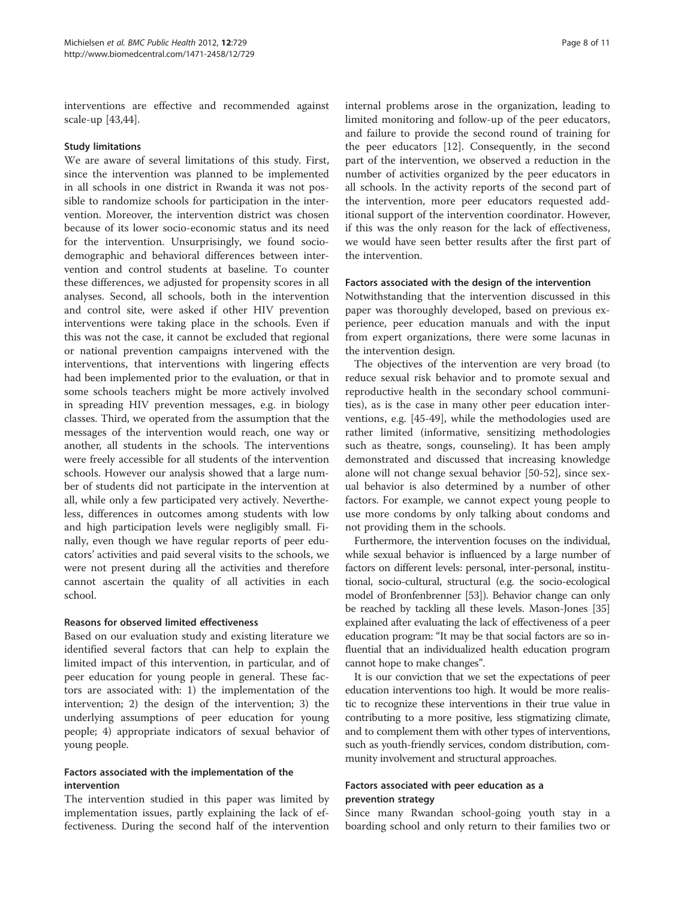interventions are effective and recommended against scale-up [\[43,44](#page-10-0)].

#### Study limitations

We are aware of several limitations of this study. First, since the intervention was planned to be implemented in all schools in one district in Rwanda it was not possible to randomize schools for participation in the intervention. Moreover, the intervention district was chosen because of its lower socio-economic status and its need for the intervention. Unsurprisingly, we found sociodemographic and behavioral differences between intervention and control students at baseline. To counter these differences, we adjusted for propensity scores in all analyses. Second, all schools, both in the intervention and control site, were asked if other HIV prevention interventions were taking place in the schools. Even if this was not the case, it cannot be excluded that regional or national prevention campaigns intervened with the interventions, that interventions with lingering effects had been implemented prior to the evaluation, or that in some schools teachers might be more actively involved in spreading HIV prevention messages, e.g. in biology classes. Third, we operated from the assumption that the messages of the intervention would reach, one way or another, all students in the schools. The interventions were freely accessible for all students of the intervention schools. However our analysis showed that a large number of students did not participate in the intervention at all, while only a few participated very actively. Nevertheless, differences in outcomes among students with low and high participation levels were negligibly small. Finally, even though we have regular reports of peer educators' activities and paid several visits to the schools, we were not present during all the activities and therefore cannot ascertain the quality of all activities in each school.

#### Reasons for observed limited effectiveness

Based on our evaluation study and existing literature we identified several factors that can help to explain the limited impact of this intervention, in particular, and of peer education for young people in general. These factors are associated with: 1) the implementation of the intervention; 2) the design of the intervention; 3) the underlying assumptions of peer education for young people; 4) appropriate indicators of sexual behavior of young people.

# Factors associated with the implementation of the intervention

The intervention studied in this paper was limited by implementation issues, partly explaining the lack of effectiveness. During the second half of the intervention internal problems arose in the organization, leading to limited monitoring and follow-up of the peer educators, and failure to provide the second round of training for the peer educators [\[12](#page-9-0)]. Consequently, in the second part of the intervention, we observed a reduction in the number of activities organized by the peer educators in all schools. In the activity reports of the second part of the intervention, more peer educators requested additional support of the intervention coordinator. However, if this was the only reason for the lack of effectiveness, we would have seen better results after the first part of the intervention.

#### Factors associated with the design of the intervention

Notwithstanding that the intervention discussed in this paper was thoroughly developed, based on previous experience, peer education manuals and with the input from expert organizations, there were some lacunas in the intervention design.

The objectives of the intervention are very broad (to reduce sexual risk behavior and to promote sexual and reproductive health in the secondary school communities), as is the case in many other peer education interventions, e.g. [[45](#page-10-0)-[49\]](#page-10-0), while the methodologies used are rather limited (informative, sensitizing methodologies such as theatre, songs, counseling). It has been amply demonstrated and discussed that increasing knowledge alone will not change sexual behavior [\[50](#page-10-0)-[52\]](#page-10-0), since sexual behavior is also determined by a number of other factors. For example, we cannot expect young people to use more condoms by only talking about condoms and not providing them in the schools.

Furthermore, the intervention focuses on the individual, while sexual behavior is influenced by a large number of factors on different levels: personal, inter-personal, institutional, socio-cultural, structural (e.g. the socio-ecological model of Bronfenbrenner [[53](#page-10-0)]). Behavior change can only be reached by tackling all these levels. Mason-Jones [\[35](#page-10-0)] explained after evaluating the lack of effectiveness of a peer education program: "It may be that social factors are so influential that an individualized health education program cannot hope to make changes".

It is our conviction that we set the expectations of peer education interventions too high. It would be more realistic to recognize these interventions in their true value in contributing to a more positive, less stigmatizing climate, and to complement them with other types of interventions, such as youth-friendly services, condom distribution, community involvement and structural approaches.

# Factors associated with peer education as a prevention strategy

Since many Rwandan school-going youth stay in a boarding school and only return to their families two or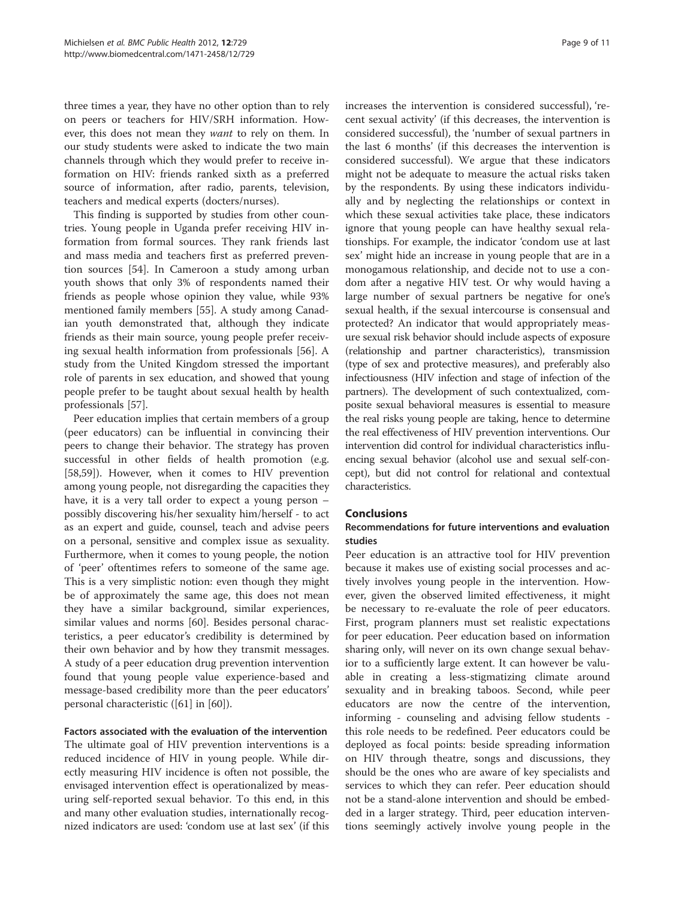three times a year, they have no other option than to rely on peers or teachers for HIV/SRH information. However, this does not mean they want to rely on them. In our study students were asked to indicate the two main channels through which they would prefer to receive information on HIV: friends ranked sixth as a preferred source of information, after radio, parents, television, teachers and medical experts (docters/nurses).

This finding is supported by studies from other countries. Young people in Uganda prefer receiving HIV information from formal sources. They rank friends last and mass media and teachers first as preferred prevention sources [\[54](#page-10-0)]. In Cameroon a study among urban youth shows that only 3% of respondents named their friends as people whose opinion they value, while 93% mentioned family members [\[55\]](#page-10-0). A study among Canadian youth demonstrated that, although they indicate friends as their main source, young people prefer receiving sexual health information from professionals [[56\]](#page-10-0). A study from the United Kingdom stressed the important role of parents in sex education, and showed that young people prefer to be taught about sexual health by health professionals [\[57](#page-10-0)].

Peer education implies that certain members of a group (peer educators) can be influential in convincing their peers to change their behavior. The strategy has proven successful in other fields of health promotion (e.g. [[58,59\]](#page-10-0)). However, when it comes to HIV prevention among young people, not disregarding the capacities they have, it is a very tall order to expect a young person – possibly discovering his/her sexuality him/herself - to act as an expert and guide, counsel, teach and advise peers on a personal, sensitive and complex issue as sexuality. Furthermore, when it comes to young people, the notion of 'peer' oftentimes refers to someone of the same age. This is a very simplistic notion: even though they might be of approximately the same age, this does not mean they have a similar background, similar experiences, similar values and norms [\[60](#page-10-0)]. Besides personal characteristics, a peer educator's credibility is determined by their own behavior and by how they transmit messages. A study of a peer education drug prevention intervention found that young people value experience-based and message-based credibility more than the peer educators' personal characteristic ([\[61](#page-10-0)] in [[60](#page-10-0)]).

Factors associated with the evaluation of the intervention The ultimate goal of HIV prevention interventions is a reduced incidence of HIV in young people. While directly measuring HIV incidence is often not possible, the envisaged intervention effect is operationalized by measuring self-reported sexual behavior. To this end, in this and many other evaluation studies, internationally recognized indicators are used: 'condom use at last sex' (if this increases the intervention is considered successful), 'recent sexual activity' (if this decreases, the intervention is considered successful), the 'number of sexual partners in the last 6 months' (if this decreases the intervention is considered successful). We argue that these indicators might not be adequate to measure the actual risks taken by the respondents. By using these indicators individually and by neglecting the relationships or context in which these sexual activities take place, these indicators ignore that young people can have healthy sexual relationships. For example, the indicator 'condom use at last sex' might hide an increase in young people that are in a monogamous relationship, and decide not to use a condom after a negative HIV test. Or why would having a large number of sexual partners be negative for one's sexual health, if the sexual intercourse is consensual and protected? An indicator that would appropriately measure sexual risk behavior should include aspects of exposure (relationship and partner characteristics), transmission (type of sex and protective measures), and preferably also infectiousness (HIV infection and stage of infection of the partners). The development of such contextualized, composite sexual behavioral measures is essential to measure the real risks young people are taking, hence to determine the real effectiveness of HIV prevention interventions. Our intervention did control for individual characteristics influencing sexual behavior (alcohol use and sexual self-concept), but did not control for relational and contextual characteristics.

# Conclusions

# Recommendations for future interventions and evaluation studies

Peer education is an attractive tool for HIV prevention because it makes use of existing social processes and actively involves young people in the intervention. However, given the observed limited effectiveness, it might be necessary to re-evaluate the role of peer educators. First, program planners must set realistic expectations for peer education. Peer education based on information sharing only, will never on its own change sexual behavior to a sufficiently large extent. It can however be valuable in creating a less-stigmatizing climate around sexuality and in breaking taboos. Second, while peer educators are now the centre of the intervention, informing - counseling and advising fellow students this role needs to be redefined. Peer educators could be deployed as focal points: beside spreading information on HIV through theatre, songs and discussions, they should be the ones who are aware of key specialists and services to which they can refer. Peer education should not be a stand-alone intervention and should be embedded in a larger strategy. Third, peer education interventions seemingly actively involve young people in the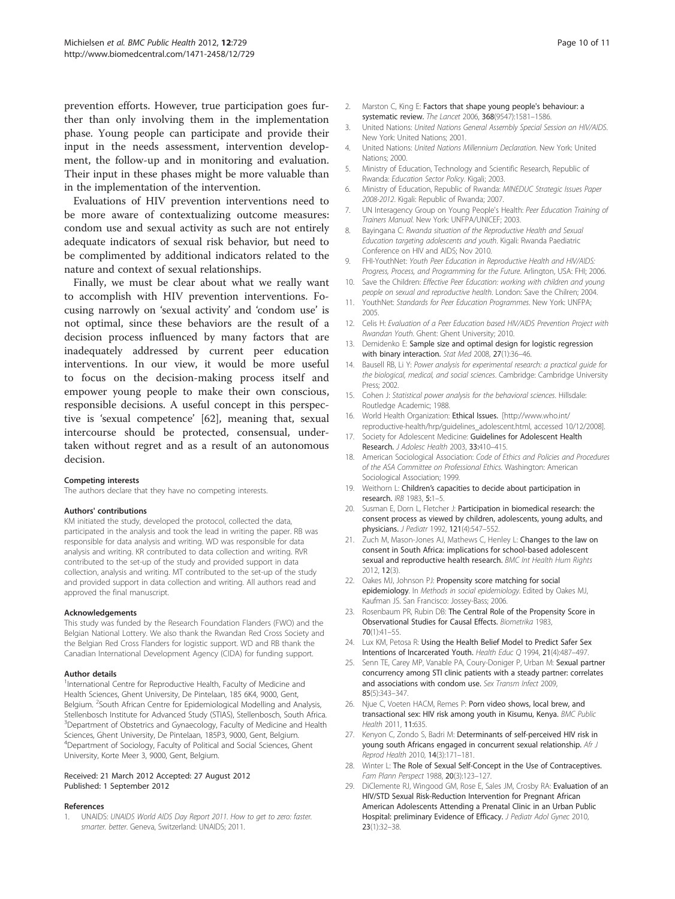<span id="page-9-0"></span>prevention efforts. However, true participation goes further than only involving them in the implementation phase. Young people can participate and provide their input in the needs assessment, intervention development, the follow-up and in monitoring and evaluation. Their input in these phases might be more valuable than in the implementation of the intervention.

Evaluations of HIV prevention interventions need to be more aware of contextualizing outcome measures: condom use and sexual activity as such are not entirely adequate indicators of sexual risk behavior, but need to be complimented by additional indicators related to the nature and context of sexual relationships.

Finally, we must be clear about what we really want to accomplish with HIV prevention interventions. Focusing narrowly on 'sexual activity' and 'condom use' is not optimal, since these behaviors are the result of a decision process influenced by many factors that are inadequately addressed by current peer education interventions. In our view, it would be more useful to focus on the decision-making process itself and empower young people to make their own conscious, responsible decisions. A useful concept in this perspective is 'sexual competence' [\[62](#page-10-0)], meaning that, sexual intercourse should be protected, consensual, undertaken without regret and as a result of an autonomous decision.

#### Competing interests

The authors declare that they have no competing interests.

#### Authors' contributions

KM initiated the study, developed the protocol, collected the data, participated in the analysis and took the lead in writing the paper. RB was responsible for data analysis and writing. WD was responsible for data analysis and writing. KR contributed to data collection and writing. RVR contributed to the set-up of the study and provided support in data collection, analysis and writing. MT contributed to the set-up of the study and provided support in data collection and writing. All authors read and approved the final manuscript.

#### Acknowledgements

This study was funded by the Research Foundation Flanders (FWO) and the Belgian National Lottery. We also thank the Rwandan Red Cross Society and the Belgian Red Cross Flanders for logistic support. WD and RB thank the Canadian International Development Agency (CIDA) for funding support.

#### Author details

<sup>1</sup>International Centre for Reproductive Health, Faculty of Medicine and Health Sciences, Ghent University, De Pintelaan, 185 6K4, 9000, Gent, Belgium. <sup>2</sup>South African Centre for Epidemiological Modelling and Analysis, Stellenbosch Institute for Advanced Study (STIAS), Stellenbosch, South Africa. <sup>3</sup>Department of Obstetrics and Gynaecology, Faculty of Medicine and Health Sciences, Ghent University, De Pintelaan, 185P3, 9000, Gent, Belgium. <sup>4</sup>Department of Sociology, Faculty of Political and Social Sciences, Ghent University, Korte Meer 3, 9000, Gent, Belgium.

#### Received: 21 March 2012 Accepted: 27 August 2012 Published: 1 September 2012

#### References

1. UNAIDS: UNAIDS World AIDS Day Report 2011. How to get to zero: faster. smarter. better. Geneva, Switzerland: UNAIDS; 2011.

- 2. Marston C, King E: Factors that shape young people's behaviour: a systematic review. The Lancet 2006, 368(9547):1581–1586.
- 3. United Nations: United Nations General Assembly Special Session on HIV/AIDS. New York: United Nations; 2001.
- 4. United Nations: United Nations Millennium Declaration. New York: United Nations; 2000.
- 5. Ministry of Education, Technology and Scientific Research, Republic of Rwanda: Education Sector Policy. Kigali; 2003.
- 6. Ministry of Education, Republic of Rwanda: MINEDUC Strategic Issues Paper 2008-2012. Kigali: Republic of Rwanda; 2007.
- 7. UN Interagency Group on Young People's Health: Peer Education Training of Trainers Manual. New York: UNFPA/UNICEF; 2003.
- 8. Bayingana C: Rwanda situation of the Reproductive Health and Sexual Education targeting adolescents and youth. Kigali: Rwanda Paediatric Conference on HIV and AIDS; Nov 2010.
- 9. FHI-YouthNet: Youth Peer Education in Reproductive Health and HIV/AIDS: Progress, Process, and Programming for the Future. Arlington, USA: FHI; 2006.
- 10. Save the Children: Effective Peer Education: working with children and young people on sexual and reproductive health. London: Save the Chilren; 2004.
- 11. YouthNet: Standards for Peer Education Programmes. New York: UNFPA; 2005.
- 12. Celis H: Evaluation of a Peer Education based HIV/AIDS Prevention Project with Rwandan Youth. Ghent: Ghent University; 2010.
- 13. Demidenko E: Sample size and optimal design for logistic regression with binary interaction. Stat Med 2008, 27(1):36–46.
- 14. Bausell RB, Li Y: Power analysis for experimental research: a practical guide for the biological, medical, and social sciences. Cambridge: Cambridge University Press; 2002.
- 15. Cohen J: Statistical power analysis for the behavioral sciences. Hillsdale: Routledge Academic; 1988.
- 16. World Health Organization: Ethical Issues. [http://www.who.int/ reproductive-health/hrp/guidelines\_adolescent.html, accessed 10/12/2008].
- 17. Society for Adolescent Medicine: Guidelines for Adolescent Health Research. J Adolesc Health 2003, 33:410–415.
- 18. American Sociological Association: Code of Ethics and Policies and Procedures of the ASA Committee on Professional Ethics. Washington: American Sociological Association; 1999.
- 19. Weithorn L: Children's capacities to decide about participation in research. IRB 1983, 5:1–5.
- 20. Susman E, Dorn L, Fletcher J: Participation in biomedical research: the consent process as viewed by children, adolescents, young adults, and physicians. J Pediatr 1992, 121(4):547–552.
- 21. Zuch M, Mason-Jones AJ, Mathews C, Henley L: Changes to the law on consent in South Africa: implications for school-based adolescent sexual and reproductive health research. BMC Int Health Hum Rights 2012, 12(3).
- 22. Oakes MJ, Johnson PJ: Propensity score matching for social epidemiology. In Methods in social epidemiology. Edited by Oakes MJ, Kaufman JS. San Francisco: Jossey-Bass; 2006.
- 23. Rosenbaum PR, Rubin DB: The Central Role of the Propensity Score in Observational Studies for Causal Effects. Biometrika 1983, 70(1):41–55.
- 24. Lux KM, Petosa R: Using the Health Belief Model to Predict Safer Sex Intentions of Incarcerated Youth. Health Educ Q 1994, 21(4):487–497.
- 25. Senn TE, Carey MP, Vanable PA, Coury-Doniger P, Urban M: Sexual partner concurrency among STI clinic patients with a steady partner: correlates and associations with condom use. Sex Transm Infect 2009, 85(5):343–347.
- 26. Njue C, Voeten HACM, Remes P: Porn video shows, local brew, and transactional sex: HIV risk among youth in Kisumu, Kenya. BMC Public Health 2011, 11:635.
- 27. Kenyon C, Zondo S, Badri M: Determinants of self-perceived HIV risk in young south Africans engaged in concurrent sexual relationship. Afr J Reprod Health 2010, 14(3):171–181.
- 28. Winter L: The Role of Sexual Self-Concept in the Use of Contraceptives. Fam Plann Perspect 1988, 20(3):123–127.
- 29. DiClemente RJ, Wingood GM, Rose E, Sales JM, Crosby RA: Evaluation of an HIV/STD Sexual Risk-Reduction Intervention for Pregnant African American Adolescents Attending a Prenatal Clinic in an Urban Public Hospital: preliminary Evidence of Efficacy. J Pediatr Adol Gynec 2010, 23(1):32–38.